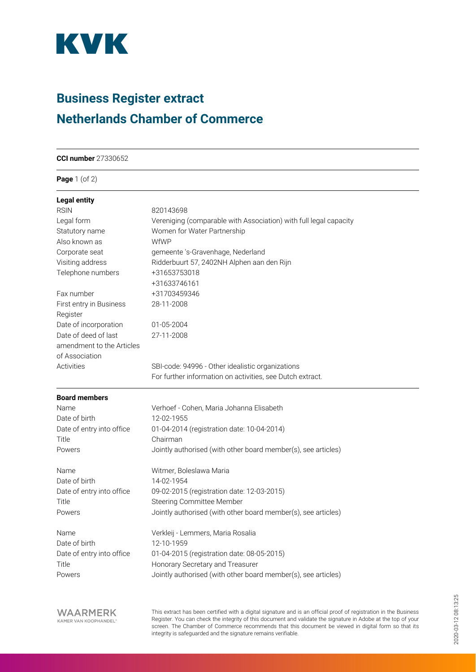

## **Business Register extract Netherlands Chamber of Commerce**

| <b>CCI number</b> 27330652 |
|----------------------------|
|                            |

**Page** 1 (of 2)

| <b>Legal entity</b>                 |                                                                   |
|-------------------------------------|-------------------------------------------------------------------|
| <b>RSIN</b>                         | 820143698                                                         |
| Legal form                          | Vereniging (comparable with Association) with full legal capacity |
| Statutory name                      | Women for Water Partnership                                       |
| Also known as                       | WfWP                                                              |
| Corporate seat                      | gemeente 's-Gravenhage, Nederland                                 |
| Visiting address                    | Ridderbuurt 57, 2402NH Alphen aan den Rijn                        |
| Telephone numbers                   | +31653753018                                                      |
|                                     | +31633746161                                                      |
| Fax number                          | +31703459346                                                      |
| First entry in Business<br>Register | 28-11-2008                                                        |
| Date of incorporation               | 01-05-2004                                                        |
| Date of deed of last                | 27-11-2008                                                        |
| amendment to the Articles           |                                                                   |
| of Association                      |                                                                   |
| Activities                          | SBI-code: 94996 - Other idealistic organizations                  |
|                                     | For further information on activities, see Dutch extract.         |
| <b>Board members</b>                |                                                                   |
| Name                                | Verhoef - Cohen, Maria Johanna Elisabeth                          |
| Date of birth                       | 12-02-1955                                                        |
| Date of entry into office           | 01-04-2014 (registration date: 10-04-2014)                        |
| Title                               | Chairman                                                          |
| Powers                              | Jointly authorised (with other board member(s), see articles)     |
| Name                                | Witmer, Boleslawa Maria                                           |
| Date of birth                       | 14-02-1954                                                        |
| Date of entry into office           | 09-02-2015 (registration date: 12-03-2015)                        |
| Title                               | Steering Committee Member                                         |
| Powers                              | Jointly authorised (with other board member(s), see articles)     |
| Name                                | Verkleij - Lemmers, Maria Rosalia                                 |
| Date of birth                       | 12-10-1959                                                        |
| Date of entry into office           | 01-04-2015 (registration date: 08-05-2015)                        |
| Title                               | Honorary Secretary and Treasurer                                  |
| Powers                              | Jointly authorised (with other board member(s), see articles)     |
|                                     |                                                                   |

This extract has been certified with a digital signature and is an official proof of registration in the Business Register. You can check the integrity of this document and validate the signature in Adobe at the top of your screen. The Chamber of Commerce recommends that this document be viewed in digital form so that its integrity is safeguarded and the signature remains verifiable.